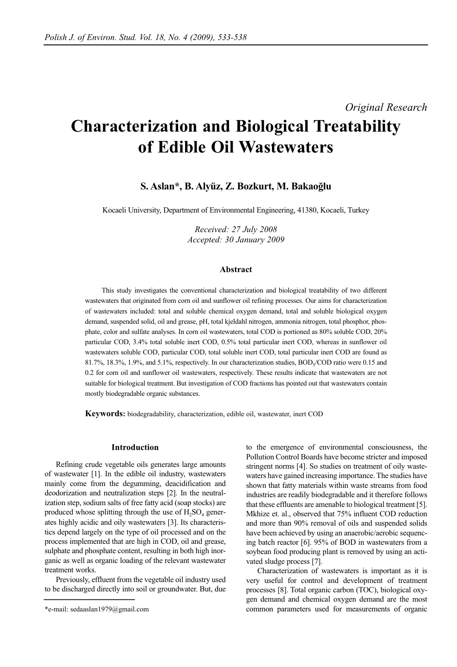# *Original Research*

# **Characterization and Biological Treatability of Edible Oil Wastewaters**

# **S. Aslan\*, B. Alyüz, Z. Bozkurt, M. Bakaoğlu**

Kocaeli University, Department of Environmental Engineering, 41380, Kocaeli, Turkey

*Received: 27 July 2008 Accepted: 30 January 2009*

## **Abstract**

This study investigates the conventional characterization and biological treatability of two different wastewaters that originated from corn oil and sunflower oil refining processes. Our aims for characterization of wastewaters included: total and soluble chemical oxygen demand, total and soluble biological oxygen demand, suspended solid, oil and grease, pH, total kjeldahl nitrogen, ammonia nitrogen, total phosphor, phosphate, color and sulfate analyses. In corn oil wastewaters, total COD is portioned as 80% soluble COD, 20% particular COD, 3.4% total soluble inert COD, 0.5% total particular inert COD, whereas in sunflower oil wastewaters soluble COD, particular COD, total soluble inert COD, total particular inert COD are found as 81.7%, 18.3%, 1.9%, and 5.1%, respectively. In our characterization studies,  $BOD<sub>5</sub>/COD$  ratio were 0.15 and 0.2 for corn oil and sunflower oil wastewaters, respectively. These results indicate that wastewaters are not suitable for biological treatment. But investigation of COD fractions has pointed out that wastewaters contain mostly biodegradable organic substances.

**Keywords:** biodegradability, characterization, edible oil, wastewater, inert COD

## **Introduction**

Refining crude vegetable oils generates large amounts of wastewater [1]. In the edible oil industry, wastewaters mainly come from the degumming, deacidification and deodorization and neutralization steps [2]. In the neutralization step, sodium salts of free fatty acid (soap stocks) are produced whose splitting through the use of  $H_2SO_4$  generates highly acidic and oily wastewaters [3]. Its characteristics depend largely on the type of oil processed and on the process implemented that are high in COD, oil and grease, sulphate and phosphate content, resulting in both high inorganic as well as organic loading of the relevant wastewater treatment works.

Previously, effluent from the vegetable oil industry used to be discharged directly into soil or groundwater. But, due to the emergence of environmental consciousness, the Pollution Control Boards have become stricter and imposed stringent norms [4]. So studies on treatment of oily wastewaters have gained increasing importance. The studies have shown that fatty materials within waste streams from food industries are readily biodegradable and it therefore follows that these effluents are amenable to biological treatment [5]. Mkhize et. al., observed that 75% influent COD reduction and more than 90% removal of oils and suspended solids have been achieved by using an anaerobic/aerobic sequencing batch reactor [6]. 95% of BOD in wastewaters from a soybean food producing plant is removed by using an activated sludge process [7].

Characterization of wastewaters is important as it is very useful for control and development of treatment processes [8]. Total organic carbon (TOC), biological oxygen demand and chemical oxygen demand are the most common parameters used for measurements of organic

<sup>\*</sup>e-mail: sedaaslan1979@gmail.com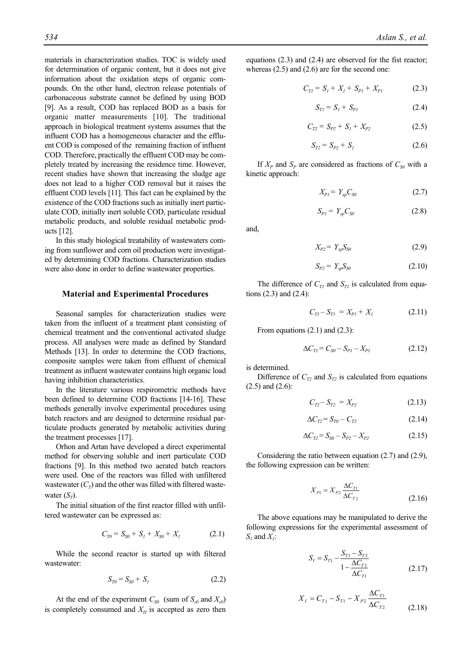materials in characterization studies. TOC is widely used for determination of organic content, but it does not give information about the oxidation steps of organic compounds. On the other hand, electron release potentials of carbonaceous substrate cannot be defined by using BOD [9]. As a result, COD has replaced BOD as a basis for organic matter measurements [10]. The traditional approach in biological treatment systems assumes that the influent COD has a homogeneous character and the effluent COD is composed of the remaining fraction of influent COD. Therefore, practically the effluent COD may be completely treated by increasing the residence time. However, recent studies have shown that increasing the sludge age does not lead to a higher COD removal but it raises the effluent COD levels [11]. This fact can be explained by the existence of the COD fractions such as initially inert particulate COD, initially inert soluble COD, particulate residual metabolic products, and soluble residual metabolic products [12].

In this study biological treatability of wastewaters coming from sunflower and corn oil production were investigated by determining COD fractions. Characterization studies were also done in order to define wastewater properties.

#### **Material and Experimental Procedures**

Seasonal samples for characterization studies were taken from the influent of a treatment plant consisting of chemical treatment and the conventional activated sludge process. All analyses were made as defined by Standard Methods [13]. In order to determine the COD fractions, composite samples were taken from effluent of chemical treatment as influent wastewater contains high organic load having inhibition characteristics.

In the literature various respirometric methods have been defined to determine COD fractions [14-16]. These methods generally involve experimental procedures using batch reactors and are designed to determine residual particulate products generated by metabolic activities during the treatment processes [17].

Orhon and Artan have developed a direct experimental method for observing soluble and inert particulate COD fractions [9]. In this method two aerated batch reactors were used. One of the reactors was filled with unfiltered wastewater  $(C_T)$  and the other was filled with filtered wastewater  $(S_T)$ .

The initial situation of the first reactor filled with unfiltered wastewater can be expressed as:

$$
C_{T0} = S_{S0} + S_I + X_{S0} + X_I \tag{2.1}
$$

While the second reactor is started up with filtered wastewater:

$$
S_{T0} = S_{S0} + S_I \tag{2.2}
$$

At the end of the experiment  $C_{S0}$  (sum of  $S_{S0}$  and  $X_{S0}$ ) is completely consumed and  $X_H$  is accepted as zero then equations (2.3) and (2.4) are observed for the fist reactor; whereas (2.5) and (2.6) are for the second one:

$$
C_{TI} = S_I + X_I + S_{PI} + X_{PI}
$$
 (2.3)

$$
S_{TI} = S_I + S_{PI} \tag{2.4}
$$

$$
C_{T2} = S_{P2} + S_1 + X_{P2} \tag{2.5}
$$

$$
S_{T2} = S_{P2} + S_I \tag{2.6}
$$

If  $X_P$  and  $S_P$  are considered as fractions of  $C_{S0}$  with a kinetic approach:

$$
X_{PI} = Y_{xp}C_{S0} \tag{2.7}
$$

$$
S_{PI} = Y_{sp} C_{S0} \tag{2.8}
$$

and,

$$
X_{P2} = Y_{xp} S_{S0} \tag{2.9}
$$

$$
S_{P2} = Y_{sp} S_{S0} \tag{2.10}
$$

The difference of  $C_{TI}$  and  $S_{TI}$  is calculated from equations (2.3) and (2.4):

$$
C_{TI} - S_{TI} = X_{PI} + X_I \tag{2.11}
$$

From equations  $(2.1)$  and  $(2.3)$ :

$$
\Delta C_{TI} = C_{S0} - S_{PI} - X_{PI} \tag{2.12}
$$

is determined.

Difference of  $C_{T2}$  and  $S_{T2}$  is calculated from equations (2.5) and (2.6):

$$
C_{T2} - S_{T2} = X_{P2} \tag{2.13}
$$

$$
\Delta C_{T2} = S_{T0} - C_{T2} \tag{2.14}
$$

$$
\Delta C_{T2} = S_{S0} - S_{P2} - X_{P2} \tag{2.15}
$$

Considering the ratio between equation (2.7) and (2.9), the following expression can be written:

$$
X_{P1} = X_{P2} \frac{\Delta C_{T1}}{\Delta C_{T2}} \tag{2.16}
$$

The above equations may be manipulated to derive the following expressions for the experimental assessment of *S1* and *X1*:

$$
S_{I} = S_{T1} - \frac{S_{T1} - S_{T2}}{1 - \frac{\Delta C_{T2}}{\Delta C_{T1}}} \tag{2.17}
$$

$$
X_{I} = C_{T1} - S_{T1} - X_{P2} \frac{\Delta C_{T1}}{\Delta C_{T2}}
$$
\n(2.18)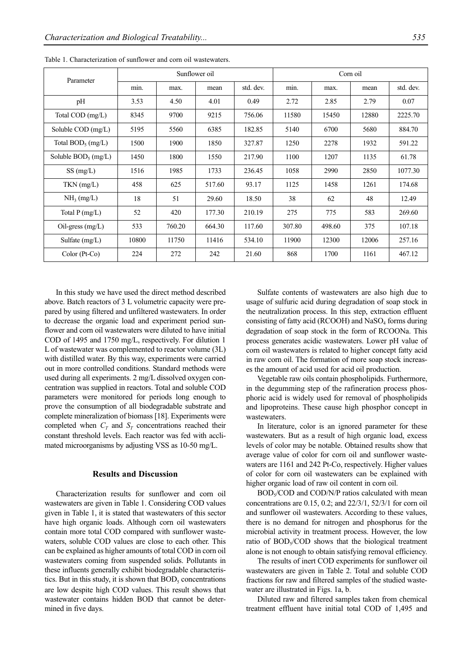| Parameter              | Sunflower oil |        |        |           | Corn oil |        |       |           |
|------------------------|---------------|--------|--------|-----------|----------|--------|-------|-----------|
|                        | min.          | max.   | mean   | std. dev. | min.     | max.   | mean  | std. dev. |
| pH                     | 3.53          | 4.50   | 4.01   | 0.49      | 2.72     | 2.85   | 2.79  | 0.07      |
| Total COD (mg/L)       | 8345          | 9700   | 9215   | 756.06    | 11580    | 15450  | 12880 | 2225.70   |
| Soluble COD (mg/L)     | 5195          | 5560   | 6385   | 182.85    | 5140     | 6700   | 5680  | 884.70    |
| Total $BOD_5$ (mg/L)   | 1500          | 1900   | 1850   | 327.87    | 1250     | 2278   | 1932  | 591.22    |
| Soluble $BOD_5$ (mg/L) | 1450          | 1800   | 1550   | 217.90    | 1100     | 1207   | 1135  | 61.78     |
| SS(mg/L)               | 1516          | 1985   | 1733   | 236.45    | 1058     | 2990   | 2850  | 1077.30   |
| $TKN$ (mg/L)           | 458           | 625    | 517.60 | 93.17     | 1125     | 1458   | 1261  | 174.68    |
| NH <sub>3</sub> (mg/L) | 18            | 51     | 29.60  | 18.50     | 38       | 62     | 48    | 12.49     |
| Total $P(mg/L)$        | 52            | 420    | 177.30 | 210.19    | 275      | 775    | 583   | 269.60    |
| Oil-gress (mg/L)       | 533           | 760.20 | 664.30 | 117.60    | 307.80   | 498.60 | 375   | 107.18    |
| Sulfate $(mg/L)$       | 10800         | 11750  | 11416  | 534.10    | 11900    | 12300  | 12006 | 257.16    |
| Color (Pt-Co)          | 224           | 272    | 242    | 21.60     | 868      | 1700   | 1161  | 467.12    |

Table 1. Characterization of sunflower and corn oil wastewaters.

In this study we have used the direct method described above. Batch reactors of 3 L volumetric capacity were prepared by using filtered and unfiltered wastewaters. In order to decrease the organic load and experiment period sunflower and corn oil wastewaters were diluted to have initial COD of 1495 and 1750 mg/L, respectively. For dilution 1 L of wastewater was complemented to reactor volume (3L) with distilled water. By this way, experiments were carried out in more controlled conditions. Standard methods were used during all experiments. 2 mg/L dissolved oxygen concentration was supplied in reactors. Total and soluble COD parameters were monitored for periods long enough to prove the consumption of all biodegradable substrate and complete mineralization of biomass [18]. Experiments were completed when  $C_T$  and  $S_T$  concentrations reached their constant threshold levels. Each reactor was fed with acclimated microorganisms by adjusting VSS as 10-50 mg/L.

## **Results and Discussion**

Characterization results for sunflower and corn oil wastewaters are given in Table 1. Considering COD values given in Table 1, it is stated that wastewaters of this sector have high organic loads. Although corn oil wastewaters contain more total COD compared with sunflower wastewaters, soluble COD values are close to each other. This can be explained as higher amounts of total COD in corn oil wastewaters coming from suspended solids. Pollutants in these influents generally exhibit biodegradable characteristics. But in this study, it is shown that  $BOD<sub>5</sub>$  concentrations are low despite high COD values. This result shows that wastewater contains hidden BOD that cannot be determined in five days.

Sulfate contents of wastewaters are also high due to usage of sulfuric acid during degradation of soap stock in the neutralization process. In this step, extraction effluent consisting of fatty acid (RCOOH) and  $NaSO<sub>4</sub>$  forms during degradation of soap stock in the form of RCOONa. This process generates acidic wastewaters. Lower pH value of corn oil wastewaters is related to higher concept fatty acid in raw corn oil. The formation of more soap stock increases the amount of acid used for acid oil production.

Vegetable raw oils contain phospholipids. Furthermore, in the degumming step of the rafineration process phosphoric acid is widely used for removal of phospholipids and lipoproteins. These cause high phosphor concept in wastewaters.

In literature, color is an ignored parameter for these wastewaters. But as a result of high organic load, excess levels of color may be notable. Obtained results show that average value of color for corn oil and sunflower wastewaters are 1161 and 242 Pt-Co, respectively. Higher values of color for corn oil wastewaters can be explained with higher organic load of raw oil content in corn oil.

 $BOD<sub>s</sub>/COD$  and  $COD/N/P$  ratios calculated with mean concentrations are 0.15, 0.2; and 22/3/1, 52/3/1 for corn oil and sunflower oil wastewaters. According to these values, there is no demand for nitrogen and phosphorus for the microbial activity in treatment process. However, the low ratio of  $BOD<sub>5</sub>/COD$  shows that the biological treatment alone is not enough to obtain satisfying removal efficiency.

The results of inert COD experiments for sunflower oil wastewaters are given in Table 2. Total and soluble COD fractions for raw and filtered samples of the studied wastewater are illustrated in Figs. 1a, b.

Diluted raw and filtered samples taken from chemical treatment effluent have initial total COD of 1,495 and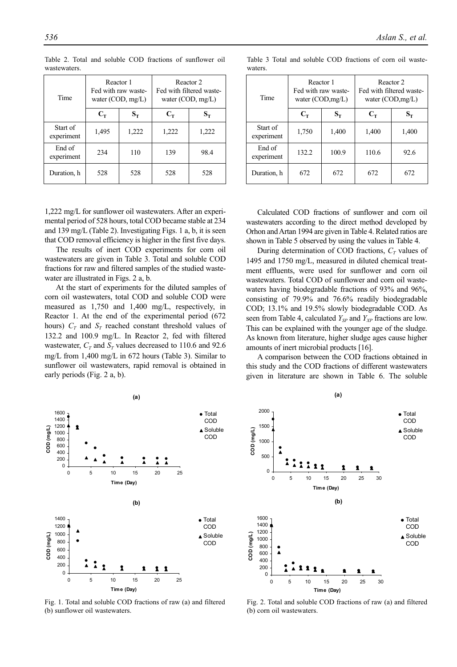| Time                   | Reactor 1 | Fed with raw waste-<br>water $(COD, mg/L)$ | Reactor 2<br>Fed with filtered waste-<br>water $(COD, mg/L)$ |                  |  |
|------------------------|-----------|--------------------------------------------|--------------------------------------------------------------|------------------|--|
|                        | $C_T$     | $S_T$                                      | $C_T$                                                        | $\mathbf{S_{T}}$ |  |
| Start of<br>experiment | 1,495     | 1,222                                      | 1,222                                                        | 1,222            |  |
| End of<br>experiment   | 234       | 110                                        | 139                                                          | 98.4             |  |
| Duration, h            | 528       |                                            | 528                                                          | 528              |  |

Table 2. Total and soluble COD fractions of sunflower oil wastewaters.

1,222 mg/L for sunflower oil wastewaters. After an experimental period of 528 hours, total COD became stable at 234 and 139 mg/L (Table 2). Investigating Figs. 1 a, b, it is seen that COD removal efficiency is higher in the first five days.

The results of inert COD experiments for corn oil wastewaters are given in Table 3. Total and soluble COD fractions for raw and filtered samples of the studied wastewater are illustrated in Figs. 2 a, b.

At the start of experiments for the diluted samples of corn oil wastewaters, total COD and soluble COD were measured as 1,750 and 1,400 mg/L, respectively, in Reactor 1. At the end of the experimental period (672 hours)  $C_T$  and  $S_T$  reached constant threshold values of 132.2 and 100.9 mg/L. In Reactor 2, fed with filtered wastewater,  $C_T$  and  $S_T$  values decreased to 110.6 and 92.6 mg/L from 1,400 mg/L in 672 hours (Table 3). Similar to sunflower oil wastewaters, rapid removal is obtained in early periods (Fig. 2 a, b).



Table 3 Total and soluble COD fractions of corn oil wastewaters.

Calculated COD fractions of sunflower and corn oil wastewaters according to the direct method developed by Orhon and Artan 1994 are given in Table 4. Related ratios are shown in Table 5 observed by using the values in Table 4.

During determination of COD fractions,  $C_T$  values of 1495 and 1750 mg/L, measured in diluted chemical treatment effluents, were used for sunflower and corn oil wastewaters. Total COD of sunflower and corn oil wastewaters having biodegradable fractions of 93% and 96%, consisting of 79.9% and 76.6% readily biodegradable COD; 13.1% and 19.5% slowly biodegradable COD. As seen from Table 4, calculated *Y<sub>SP</sub>* and *Y<sub>XP</sub>* fractions are low. This can be explained with the younger age of the sludge. As known from literature, higher sludge ages cause higher amounts of inert microbial products [16].

A comparison between the COD fractions obtained in this study and the COD fractions of different wastewaters given in literature are shown in Table 6. The soluble



Fig. 1. Total and soluble COD fractions of raw (a) and filtered (b) sunflower oil wastewaters.



Fig. 2. Total and soluble COD fractions of raw (a) and filtered (b) corn oil wastewaters.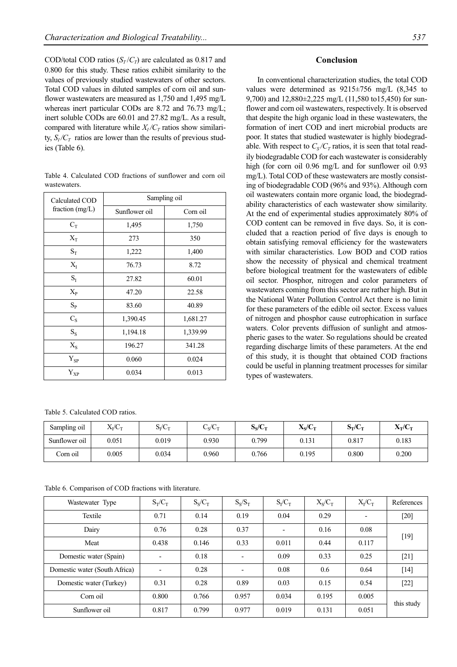COD/total COD ratios  $(S_T/C_T)$  are calculated as 0.817 and 0.800 for this study. These ratios exhibit similarity to the values of previously studied wastewaters of other sectors. Total COD values in diluted samples of corn oil and sunflower wastewaters are measured as 1,750 and 1,495 mg/L whereas inert particular CODs are 8.72 and 76.73 mg/L; inert soluble CODs are 60.01 and 27.82 mg/L. As a result, compared with literature while  $X_I/C_T$  ratios show similarity,  $S_I/C_T$  ratios are lower than the results of previous studies (Table 6).

Table 4. Calculated COD fractions of sunflower and corn oil wastewaters.

| Calculated COD     | Sampling oil  |          |  |  |  |  |
|--------------------|---------------|----------|--|--|--|--|
| fraction $(mg/L)$  | Sunflower oil | Corn oil |  |  |  |  |
| $C_T$              | 1,495         | 1,750    |  |  |  |  |
| $X_T$              | 273           | 350      |  |  |  |  |
| $S_T$              | 1,222         | 1,400    |  |  |  |  |
| $X_I$              | 76.73         | 8.72     |  |  |  |  |
| $S_I$              | 27.82         | 60.01    |  |  |  |  |
| $X_{\rm P}$        | 47.20         | 22.58    |  |  |  |  |
| $S_{P}$            | 83.60         | 40.89    |  |  |  |  |
| $C_S$              | 1,390.45      | 1,681.27 |  |  |  |  |
| $S_S$              | 1,194.18      | 1,339.99 |  |  |  |  |
| $X_{S}$            | 196.27        | 341.28   |  |  |  |  |
| $Y_{SP}$           | 0.060         | 0.024    |  |  |  |  |
| ${\rm Y}_{\rm XP}$ | 0.034         | 0.013    |  |  |  |  |

Table 5. Calculated COD ratios.

# **Conclusion**

In conventional characterization studies, the total COD values were determined as 9215±756 mg/L (8,345 to 9,700) and 12,880±2,225 mg/L (11,580 to15,450) for sunflower and corn oil wastewaters, respectively. It is observed that despite the high organic load in these wastewaters, the formation of inert COD and inert microbial products are poor. It states that studied wastewater is highly biodegradable. With respect to  $C_s/C_T$  ratios, it is seen that total readily biodegradable COD for each wastewater is considerably high (for corn oil 0.96 mg/L and for sunflower oil 0.93 mg/L). Total COD of these wastewaters are mostly consisting of biodegradable COD (96% and 93%). Although corn oil wastewaters contain more organic load, the biodegradability characteristics of each wastewater show similarity. At the end of experimental studies approximately 80% of COD content can be removed in five days. So, it is concluded that a reaction period of five days is enough to obtain satisfying removal efficiency for the wastewaters with similar characteristics. Low BOD and COD ratios show the necessity of physical and chemical treatment before biological treatment for the wastewaters of edible oil sector. Phosphor, nitrogen and color parameters of wastewaters coming from this sector are rather high. But in the National Water Pollution Control Act there is no limit for these parameters of the edible oil sector. Excess values of nitrogen and phosphor cause eutrophication in surface waters. Color prevents diffusion of sunlight and atmospheric gases to the water. So regulations should be created regarding discharge limits of these parameters. At the end of this study, it is thought that obtained COD fractions could be useful in planning treatment processes for similar types of wastewaters.

| Sampling oil  | $X_{I}/C_{T}$ | $S_v/C_v$ | $\epsilon$ $\epsilon$<br>$C_V C_T$ | $S_{\rm s}/C_{\rm T}$ | $X_S/C_T$ | $S_T/C_T$ | $X_T/C_T$ |
|---------------|---------------|-----------|------------------------------------|-----------------------|-----------|-----------|-----------|
| Sunflower oil | 0.051         | 0.019     | 0.930                              | 0.799                 | 0.131     | 0.817     | 0.183     |
| Corn oil      | 0.005         | 0.034     | 0.960                              | 0.766                 | 0.195     | 0.800     | 0.200     |

Table 6. Comparison of COD fractions with literature.

| Wastewater Type               | $S_T/C_T$                | $S_S/C_T$ | $S_S/S_T$                | $S_I/C_T$                | $X_S/C_T$ | $X_I/C_T$                | References |
|-------------------------------|--------------------------|-----------|--------------------------|--------------------------|-----------|--------------------------|------------|
| Textile                       | 0.71                     | 0.14      | 0.19                     | 0.04                     | 0.29      | $\overline{\phantom{a}}$ | $[20]$     |
| Dairy                         | 0.76                     | 0.28      | 0.37                     | $\overline{\phantom{a}}$ | 0.16      | 0.08                     | $[19]$     |
| Meat                          | 0.438                    | 0.146     | 0.33                     | 0.011                    | 0.44      | 0.117                    |            |
| Domestic water (Spain)        | $\overline{\phantom{a}}$ | 0.18      |                          | 0.09                     | 0.33      | 0.25                     | $[21]$     |
| Domestic water (South Africa) | $\overline{\phantom{a}}$ | 0.28      | $\overline{\phantom{0}}$ | 0.08                     | 0.6       | 0.64                     | $[14]$     |
| Domestic water (Turkey)       | 0.31                     | 0.28      | 0.89                     | 0.03                     | 0.15      | 0.54                     | $[22]$     |
| Corn oil                      | 0.800                    | 0.766     | 0.957                    | 0.034                    | 0.195     | 0.005                    | this study |
| Sunflower oil                 | 0.817                    | 0.799     | 0.977                    | 0.019                    | 0.131     | 0.051                    |            |